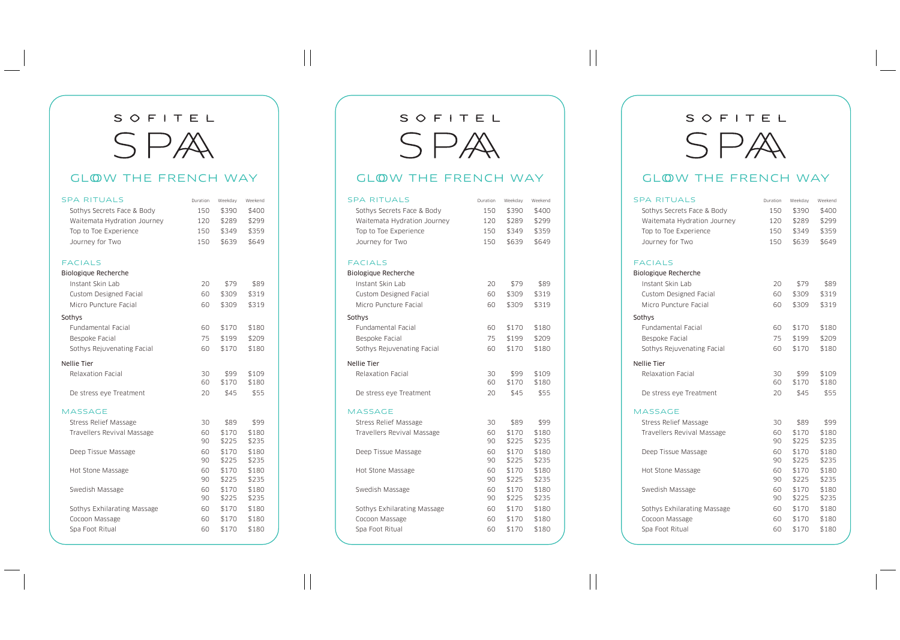## SOFITEL SPA

## GLOW THE FRENCH WAY

| <b>SPA RITUALS</b>           | Duration | Weekday        | Weekend        |
|------------------------------|----------|----------------|----------------|
| Sothys Secrets Face & Body   | 150      | \$390          | \$400          |
| Waitemata Hydration Journey  | 120      | \$289          | \$299          |
| Top to Toe Experience        | 150      | \$349          | \$359          |
| Journey for Two              | 150      | \$639          | \$649          |
| <b>FACIALS</b>               |          |                |                |
| Biologique Recherche         |          |                |                |
| Instant Skin Lab             | 20       | \$79           | \$89           |
| Custom Designed Facial       | 60       | \$309          | \$319          |
| Micro Puncture Facial        | 60       | \$309          | \$319          |
| Sothys                       |          |                |                |
| Fundamental Facial           | 60       | \$170          | \$180          |
| Bespoke Facial               | 75       | \$199          | \$209          |
| Sothys Rejuvenating Facial   | 60       | \$170          | \$180          |
| <b>Nellie Tier</b>           |          |                |                |
| Relaxation Facial            | 30       | \$99           | \$109          |
|                              | 60       | \$170          | \$180          |
| De stress eye Treatment      | 20       | \$45           | \$55           |
| <b>MASSAGE</b>               |          |                |                |
| <b>Stress Relief Massage</b> | 30       | \$89           | \$99           |
| Travellers Revival Massage   | 60       | \$170          | \$180          |
|                              | 90       | \$225          | \$235          |
| Deep Tissue Massage          | 60       | \$170          | \$180          |
|                              | 90       | \$225          | \$235          |
| Hot Stone Massage            | 60<br>90 | \$170<br>\$225 | \$180<br>\$235 |
| Swedish Massage              | 60       | \$170          | \$180          |
|                              | 90       | \$225          | \$235          |
| Sothys Exhilarating Massage  | 60       | \$170          | \$180          |
| Cocoon Massage               | 60       | \$170          | \$180          |
| Spa Foot Ritual              | 60       | \$170          | \$180          |
|                              |          |                |                |